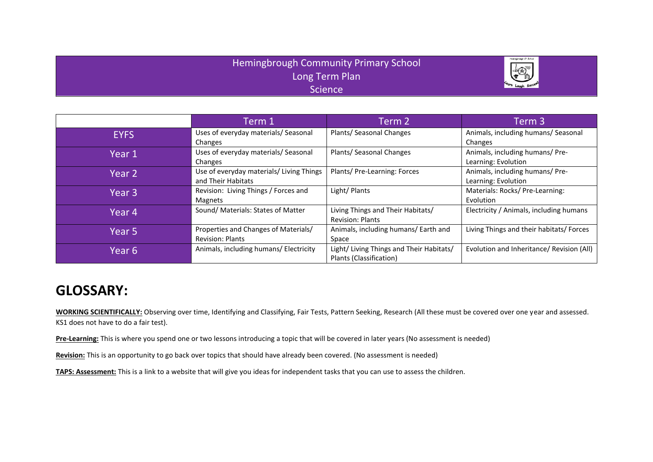## Hemingbrough Community Primary School Long Term Plan **Science**



|             | Term 1                                   | Term 2                                   | Term 3                                    |
|-------------|------------------------------------------|------------------------------------------|-------------------------------------------|
| <b>EYFS</b> | Uses of everyday materials/ Seasonal     | Plants/ Seasonal Changes                 | Animals, including humans/ Seasonal       |
|             | Changes                                  |                                          | Changes                                   |
| Year 1      | Uses of everyday materials/ Seasonal     | Plants/ Seasonal Changes                 | Animals, including humans/ Pre-           |
|             | Changes                                  |                                          | Learning: Evolution                       |
| Year 2      | Use of everyday materials/ Living Things | Plants/ Pre-Learning: Forces             | Animals, including humans/ Pre-           |
|             | and Their Habitats                       |                                          | Learning: Evolution                       |
| Year 3      | Revision: Living Things / Forces and     | Light/ Plants                            | Materials: Rocks/ Pre-Learning:           |
|             | Magnets                                  |                                          | Evolution                                 |
| Year 4      | Sound/ Materials: States of Matter       | Living Things and Their Habitats/        | Electricity / Animals, including humans   |
|             |                                          | <b>Revision: Plants</b>                  |                                           |
| Year 5      | Properties and Changes of Materials/     | Animals, including humans/ Earth and     | Living Things and their habitats/ Forces  |
|             | <b>Revision: Plants</b>                  | Space                                    |                                           |
| Year 6      | Animals, including humans/ Electricity   | Light/ Living Things and Their Habitats/ | Evolution and Inheritance/ Revision (All) |
|             |                                          | Plants (Classification)                  |                                           |

## **GLOSSARY:**

**WORKING SCIENTIFICALLY:** Observing over time, Identifying and Classifying, Fair Tests, Pattern Seeking, Research (All these must be covered over one year and assessed. KS1 does not have to do a fair test).

**Pre-Learning:** This is where you spend one or two lessons introducing a topic that will be covered in later years (No assessment is needed)

**Revision:** This is an opportunity to go back over topics that should have already been covered. (No assessment is needed)

**TAPS: Assessment:** This is a link to a website that will give you ideas for independent tasks that you can use to assess the children.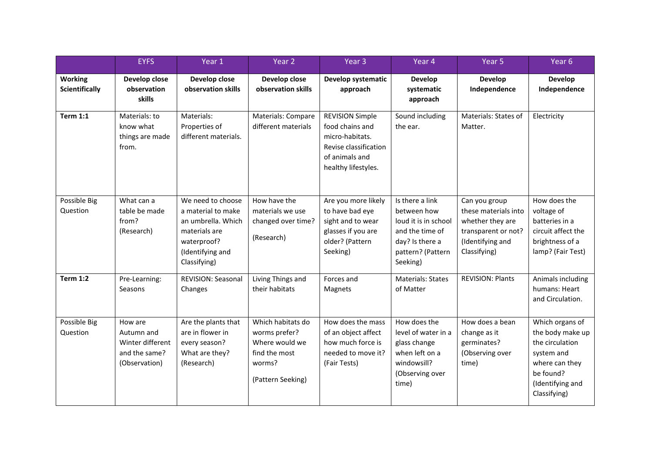|                                         | <b>EYFS</b>                                                                 | Year 1                                                                                                                            | Year 2                                                                                               | Year 3                                                                                                                         | Year 4                                                                                                                        | Year 5                                                                                                               | Year 6                                                                                                                                  |
|-----------------------------------------|-----------------------------------------------------------------------------|-----------------------------------------------------------------------------------------------------------------------------------|------------------------------------------------------------------------------------------------------|--------------------------------------------------------------------------------------------------------------------------------|-------------------------------------------------------------------------------------------------------------------------------|----------------------------------------------------------------------------------------------------------------------|-----------------------------------------------------------------------------------------------------------------------------------------|
| <b>Working</b><br><b>Scientifically</b> | Develop close<br>observation<br>skills                                      | Develop close<br>observation skills                                                                                               | Develop close<br>observation skills                                                                  | Develop systematic<br>approach                                                                                                 | Develop<br>systematic<br>approach                                                                                             | Develop<br>Independence                                                                                              | Develop<br>Independence                                                                                                                 |
| <b>Term 1:1</b>                         | Materials: to<br>know what<br>things are made<br>from.                      | Materials:<br>Properties of<br>different materials.                                                                               | Materials: Compare<br>different materials                                                            | <b>REVISION Simple</b><br>food chains and<br>micro-habitats.<br>Revise classification<br>of animals and<br>healthy lifestyles. | Sound including<br>the ear.                                                                                                   | Materials: States of<br>Matter.                                                                                      | Electricity                                                                                                                             |
| Possible Big<br>Question                | What can a<br>table be made<br>from?<br>(Research)                          | We need to choose<br>a material to make<br>an umbrella. Which<br>materials are<br>waterproof?<br>(Identifying and<br>Classifying) | How have the<br>materials we use<br>changed over time?<br>(Research)                                 | Are you more likely<br>to have bad eye<br>sight and to wear<br>glasses if you are<br>older? (Pattern<br>Seeking)               | Is there a link<br>between how<br>loud it is in school<br>and the time of<br>day? Is there a<br>pattern? (Pattern<br>Seeking) | Can you group<br>these materials into<br>whether they are<br>transparent or not?<br>(Identifying and<br>Classifying) | How does the<br>voltage of<br>batteries in a<br>circuit affect the<br>brightness of a<br>lamp? (Fair Test)                              |
| <b>Term 1:2</b>                         | Pre-Learning:<br>Seasons                                                    | <b>REVISION: Seasonal</b><br>Changes                                                                                              | Living Things and<br>their habitats                                                                  | Forces and<br>Magnets                                                                                                          | <b>Materials: States</b><br>of Matter                                                                                         | <b>REVISION: Plants</b>                                                                                              | Animals including<br>humans: Heart<br>and Circulation.                                                                                  |
| Possible Big<br>Question                | How are<br>Autumn and<br>Winter different<br>and the same?<br>(Observation) | Are the plants that<br>are in flower in<br>every season?<br>What are they?<br>(Research)                                          | Which habitats do<br>worms prefer?<br>Where would we<br>find the most<br>worms?<br>(Pattern Seeking) | How does the mass<br>of an object affect<br>how much force is<br>needed to move it?<br>(Fair Tests)                            | How does the<br>level of water in a<br>glass change<br>when left on a<br>windowsill?<br>(Observing over<br>time)              | How does a bean<br>change as it<br>germinates?<br>(Observing over<br>time)                                           | Which organs of<br>the body make up<br>the circulation<br>system and<br>where can they<br>be found?<br>(Identifying and<br>Classifying) |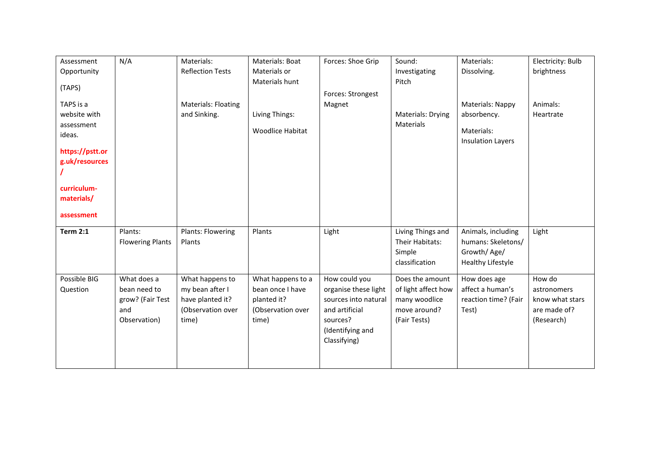| Assessment                                                                             | N/A                                                                    | Materials:                                                                           | Materials: Boat                                                                    | Forces: Shoe Grip                                                                                                               | Sound:                                                                                  | Materials:                                                                   | Electricity: Bulb                                                      |
|----------------------------------------------------------------------------------------|------------------------------------------------------------------------|--------------------------------------------------------------------------------------|------------------------------------------------------------------------------------|---------------------------------------------------------------------------------------------------------------------------------|-----------------------------------------------------------------------------------------|------------------------------------------------------------------------------|------------------------------------------------------------------------|
| Opportunity                                                                            |                                                                        | <b>Reflection Tests</b>                                                              | Materials or                                                                       |                                                                                                                                 | Investigating                                                                           | Dissolving.                                                                  | brightness                                                             |
| (TAPS)                                                                                 |                                                                        |                                                                                      | Materials hunt                                                                     |                                                                                                                                 | Pitch                                                                                   |                                                                              |                                                                        |
| TAPS is a<br>website with<br>assessment<br>ideas.<br>https://pstt.or<br>g.uk/resources |                                                                        | <b>Materials: Floating</b><br>and Sinking.                                           | Living Things:<br><b>Woodlice Habitat</b>                                          | Forces: Strongest<br>Magnet                                                                                                     | Materials: Drying<br>Materials                                                          | Materials: Nappy<br>absorbency.<br>Materials:<br><b>Insulation Layers</b>    | Animals:<br>Heartrate                                                  |
| curriculum-<br>materials/                                                              |                                                                        |                                                                                      |                                                                                    |                                                                                                                                 |                                                                                         |                                                                              |                                                                        |
| assessment                                                                             |                                                                        |                                                                                      |                                                                                    |                                                                                                                                 |                                                                                         |                                                                              |                                                                        |
| <b>Term 2:1</b>                                                                        | Plants:<br><b>Flowering Plants</b>                                     | Plants: Flowering<br>Plants                                                          | Plants                                                                             | Light                                                                                                                           | Living Things and<br>Their Habitats:<br>Simple<br>classification                        | Animals, including<br>humans: Skeletons/<br>Growth/Age/<br>Healthy Lifestyle | Light                                                                  |
| Possible BIG<br>Question                                                               | What does a<br>bean need to<br>grow? (Fair Test<br>and<br>Observation) | What happens to<br>my bean after I<br>have planted it?<br>(Observation over<br>time) | What happens to a<br>bean once I have<br>planted it?<br>(Observation over<br>time) | How could you<br>organise these light<br>sources into natural<br>and artificial<br>sources?<br>(Identifying and<br>Classifying) | Does the amount<br>of light affect how<br>many woodlice<br>move around?<br>(Fair Tests) | How does age<br>affect a human's<br>reaction time? (Fair<br>Test)            | How do<br>astronomers<br>know what stars<br>are made of?<br>(Research) |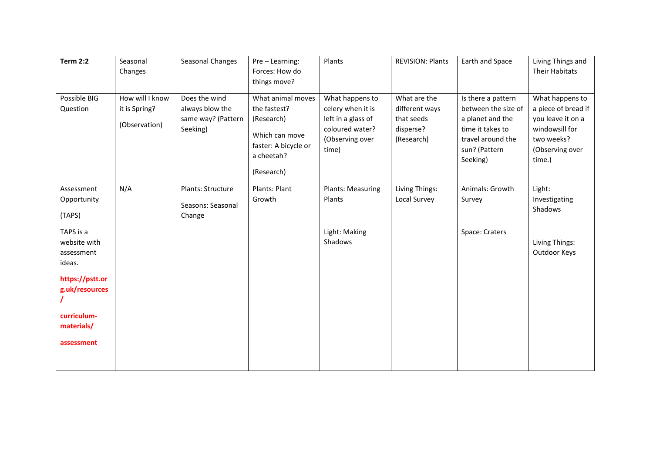| <b>Term 2:2</b>                                                           | Seasonal<br>Changes                               | Seasonal Changes                                                   | Pre - Learning:<br>Forces: How do<br>things move?                                                                     | Plants                                                                                                    | <b>REVISION: Plants</b>                                                 | Earth and Space                                                                                                                     | Living Things and<br>Their Habitats                                                                                      |
|---------------------------------------------------------------------------|---------------------------------------------------|--------------------------------------------------------------------|-----------------------------------------------------------------------------------------------------------------------|-----------------------------------------------------------------------------------------------------------|-------------------------------------------------------------------------|-------------------------------------------------------------------------------------------------------------------------------------|--------------------------------------------------------------------------------------------------------------------------|
| Possible BIG<br>Question                                                  | How will I know<br>it is Spring?<br>(Observation) | Does the wind<br>always blow the<br>same way? (Pattern<br>Seeking) | What animal moves<br>the fastest?<br>(Research)<br>Which can move<br>faster: A bicycle or<br>a cheetah?<br>(Research) | What happens to<br>celery when it is<br>left in a glass of<br>coloured water?<br>(Observing over<br>time) | What are the<br>different ways<br>that seeds<br>disperse?<br>(Research) | Is there a pattern<br>between the size of<br>a planet and the<br>time it takes to<br>travel around the<br>sun? (Pattern<br>Seeking) | What happens to<br>a piece of bread if<br>you leave it on a<br>windowsill for<br>two weeks?<br>(Observing over<br>time.) |
| Assessment<br>Opportunity<br>(TAPS)<br>TAPS is a                          | N/A                                               | Plants: Structure<br>Seasons: Seasonal<br>Change                   | Plants: Plant<br>Growth                                                                                               | Plants: Measuring<br>Plants<br>Light: Making<br>Shadows                                                   | Living Things:<br>Local Survey                                          | Animals: Growth<br>Survey<br>Space: Craters                                                                                         | Light:<br>Investigating<br>Shadows                                                                                       |
| website with<br>assessment<br>ideas.<br>https://pstt.or<br>g.uk/resources |                                                   |                                                                    |                                                                                                                       |                                                                                                           |                                                                         |                                                                                                                                     | Living Things:<br>Outdoor Keys                                                                                           |
| curriculum-<br>materials/<br>assessment                                   |                                                   |                                                                    |                                                                                                                       |                                                                                                           |                                                                         |                                                                                                                                     |                                                                                                                          |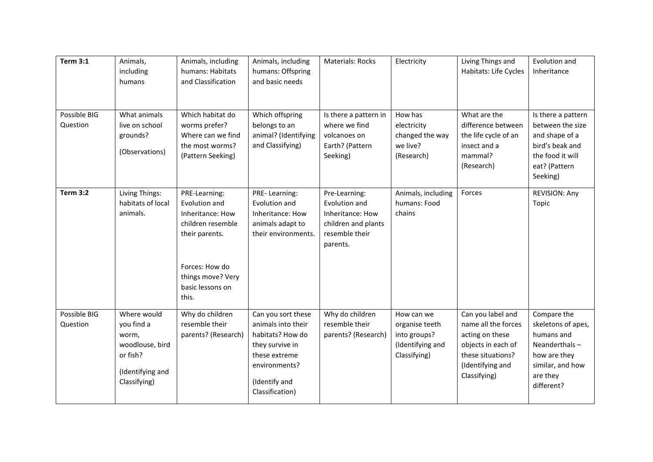| <b>Term 3:1</b>          | Animals,<br>including<br>humans                                                                       | Animals, including<br>humans: Habitats<br>and Classification                                                                                                  | Animals, including<br>humans: Offspring<br>and basic needs                                                                                            | <b>Materials: Rocks</b>                                                                                 | Electricity                                                                      | Living Things and<br>Habitats: Life Cycles                                                                                                 | Evolution and<br>Inheritance                                                                                                      |
|--------------------------|-------------------------------------------------------------------------------------------------------|---------------------------------------------------------------------------------------------------------------------------------------------------------------|-------------------------------------------------------------------------------------------------------------------------------------------------------|---------------------------------------------------------------------------------------------------------|----------------------------------------------------------------------------------|--------------------------------------------------------------------------------------------------------------------------------------------|-----------------------------------------------------------------------------------------------------------------------------------|
| Possible BIG<br>Question | What animals<br>live on school<br>grounds?<br>(Observations)                                          | Which habitat do<br>worms prefer?<br>Where can we find<br>the most worms?<br>(Pattern Seeking)                                                                | Which offspring<br>belongs to an<br>animal? (Identifying<br>and Classifying)                                                                          | Is there a pattern in<br>where we find<br>volcanoes on<br>Earth? (Pattern<br>Seeking)                   | How has<br>electricity<br>changed the way<br>we live?<br>(Research)              | What are the<br>difference between<br>the life cycle of an<br>insect and a<br>mammal?<br>(Research)                                        | Is there a pattern<br>between the size<br>and shape of a<br>bird's beak and<br>the food it will<br>eat? (Pattern<br>Seeking)      |
| <b>Term 3:2</b>          | Living Things:<br>habitats of local<br>animals.                                                       | PRE-Learning:<br>Evolution and<br>Inheritance: How<br>children resemble<br>their parents.<br>Forces: How do<br>things move? Very<br>basic lessons on<br>this. | PRE-Learning:<br>Evolution and<br>Inheritance: How<br>animals adapt to<br>their environments.                                                         | Pre-Learning:<br>Evolution and<br>Inheritance: How<br>children and plants<br>resemble their<br>parents. | Animals, including<br>humans: Food<br>chains                                     | Forces                                                                                                                                     | <b>REVISION: Any</b><br>Topic                                                                                                     |
| Possible BIG<br>Question | Where would<br>you find a<br>worm,<br>woodlouse, bird<br>or fish?<br>(Identifying and<br>Classifying) | Why do children<br>resemble their<br>parents? (Research)                                                                                                      | Can you sort these<br>animals into their<br>habitats? How do<br>they survive in<br>these extreme<br>environments?<br>(Identify and<br>Classification) | Why do children<br>resemble their<br>parents? (Research)                                                | How can we<br>organise teeth<br>into groups?<br>(Identifying and<br>Classifying) | Can you label and<br>name all the forces<br>acting on these<br>objects in each of<br>these situations?<br>(Identifying and<br>Classifying) | Compare the<br>skeletons of apes,<br>humans and<br>Neanderthals $-$<br>how are they<br>similar, and how<br>are they<br>different? |